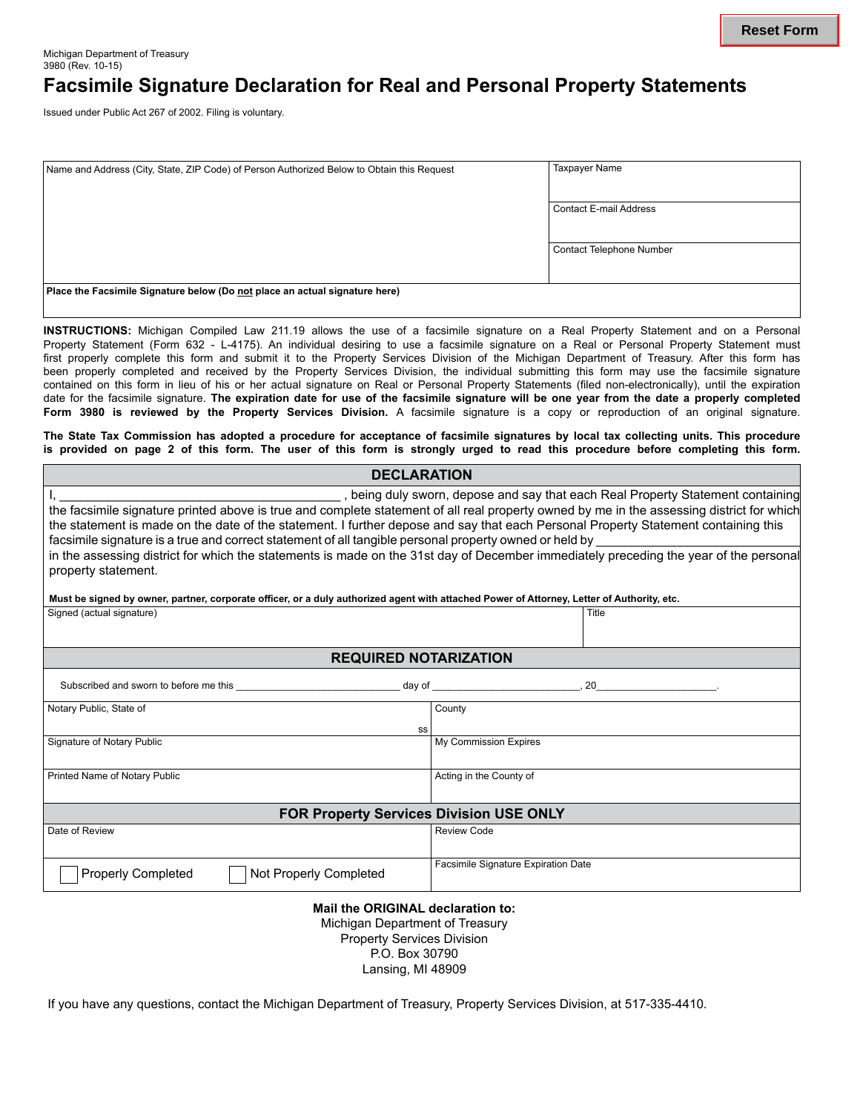## **Facsimile Signature Declaration for Real and Personal Property Statements**

Issued under Public Act 267 of 2002. Filing is voluntary.

| Name and Address (City, State, ZIP Code) of Person Authorized Below to Obtain this Request | <b>Taxpayer Name</b>     |
|--------------------------------------------------------------------------------------------|--------------------------|
|                                                                                            |                          |
|                                                                                            |                          |
|                                                                                            |                          |
|                                                                                            | Contact E-mail Address   |
|                                                                                            |                          |
|                                                                                            |                          |
|                                                                                            |                          |
|                                                                                            | Contact Telephone Number |
|                                                                                            |                          |
|                                                                                            |                          |
|                                                                                            |                          |
| Place the Facsimile Signature below (Do not place an actual signature here)                |                          |
|                                                                                            |                          |
|                                                                                            |                          |

**INSTRUCTIONS:** Michigan Compiled Law 211.19 allows the use of a facsimile signature on a Real Property Statement and on a Personal Property Statement (Form 632 - L-4175). An individual desiring to use a facsimile signature on a Real or Personal Property Statement must first properly complete this form and submit it to the Property Services Division of the Michigan Department of Treasury. After this form has been properly completed and received by the Property Services Division, the individual submitting this form may use the facsimile signature contained on this form in lieu of his or her actual signature on Real or Personal Property Statements (filed non-electronically), until the expiration date for the facsimile signature. **The expiration date for use of the facsimile signature will be one year from the date a properly completed Form 3980 is reviewed by the Property Services Division.** A facsimile signature is a copy or reproduction of an original signature.

**The State Tax Commission has adopted a procedure for acceptance of facsimile signatures by local tax collecting units. This procedure is provided on page 2 of this form. The user of this form is strongly urged to read this procedure before completing this form. DECLARATION**

| <b>DECLARAIION</b>                                                                                                                                                                                                                                                                                                                                                                                                                                                                                                                                                                                                                           |                                     |  |
|----------------------------------------------------------------------------------------------------------------------------------------------------------------------------------------------------------------------------------------------------------------------------------------------------------------------------------------------------------------------------------------------------------------------------------------------------------------------------------------------------------------------------------------------------------------------------------------------------------------------------------------------|-------------------------------------|--|
| , being duly sworn, depose and say that each Real Property Statement containing<br>the facsimile signature printed above is true and complete statement of all real property owned by me in the assessing district for which<br>the statement is made on the date of the statement. I further depose and say that each Personal Property Statement containing this<br>facsimile signature is a true and correct statement of all tangible personal property owned or held by<br>in the assessing district for which the statements is made on the 31st day of December immediately preceding the year of the personal<br>property statement. |                                     |  |
| Must be signed by owner, partner, corporate officer, or a duly authorized agent with attached Power of Attorney, Letter of Authority, etc.                                                                                                                                                                                                                                                                                                                                                                                                                                                                                                   |                                     |  |
| Signed (actual signature)                                                                                                                                                                                                                                                                                                                                                                                                                                                                                                                                                                                                                    | Title                               |  |
| <b>REQUIRED NOTARIZATION</b>                                                                                                                                                                                                                                                                                                                                                                                                                                                                                                                                                                                                                 |                                     |  |
| Subscribed and sworn to before me this example and the state of the day of the state of the state of the state of the state of the state of the state of the state of the state of the state of the state of the state of the                                                                                                                                                                                                                                                                                                                                                                                                                |                                     |  |
| Notary Public, State of<br>SS                                                                                                                                                                                                                                                                                                                                                                                                                                                                                                                                                                                                                | County                              |  |
| Signature of Notary Public                                                                                                                                                                                                                                                                                                                                                                                                                                                                                                                                                                                                                   | <b>My Commission Expires</b>        |  |
| Printed Name of Notary Public                                                                                                                                                                                                                                                                                                                                                                                                                                                                                                                                                                                                                | Acting in the County of             |  |
| <b>FOR Property Services Division USE ONLY</b>                                                                                                                                                                                                                                                                                                                                                                                                                                                                                                                                                                                               |                                     |  |
| Date of Review                                                                                                                                                                                                                                                                                                                                                                                                                                                                                                                                                                                                                               | <b>Review Code</b>                  |  |
| <b>Properly Completed</b><br>Not Properly Completed                                                                                                                                                                                                                                                                                                                                                                                                                                                                                                                                                                                          | Facsimile Signature Expiration Date |  |

## **Mail the ORIGINAL declaration to:**

Michigan Department of Treasury Property Services Division P.O. Box 30790 Lansing, MI 48909

If you have any questions, contact the Michigan Department of Treasury, Property Services Division, at 517-335-4410.